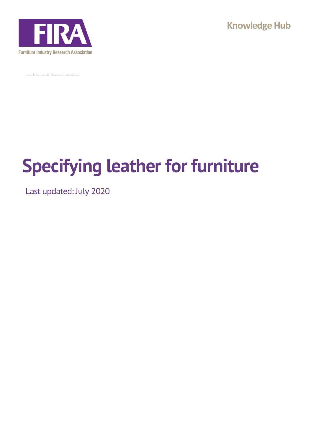**Knowledge Hub** 



## **Specifying leather for furniture**

Last updated: July 2020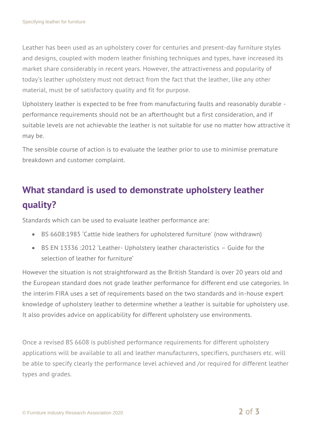Leather has been used as an upholstery cover for centuries and present-day furniture styles and designs, coupled with modern leather finishing techniques and types, have increased its market share considerably in recent years. However, the attractiveness and popularity of today's leather upholstery must not detract from the fact that the leather, like any other material, must be of satisfactory quality and fit for purpose.

Upholstery leather is expected to be free from manufacturing faults and reasonably durable performance requirements should not be an afterthought but a first consideration, and if suitable levels are not achievable the leather is not suitable for use no matter how attractive it may be.

The sensible course of action is to evaluate the leather prior to use to minimise premature breakdown and customer complaint.

## **What standard is used to demonstrate upholstery leather quality?**

Standards which can be used to evaluate leather performance are:

- BS 6608:1985 'Cattle hide leathers for upholstered furniture' (now withdrawn)
- BS EN 13336 :2012 'Leather- Upholstery leather characteristics Guide for the selection of leather for furniture'

However the situation is not straightforward as the British Standard is over 20 years old and the European standard does not grade leather performance for different end use categories. In the interim FIRA uses a set of requirements based on the two standards and in-house expert knowledge of upholstery leather to determine whether a leather is suitable for upholstery use. It also provides advice on applicability for different upholstery use environments.

Once a revised BS 6608 is published performance requirements for different upholstery applications will be available to all and leather manufacturers, specifiers, purchasers etc. will be able to specify clearly the performance level achieved and /or required for different leather types and grades.